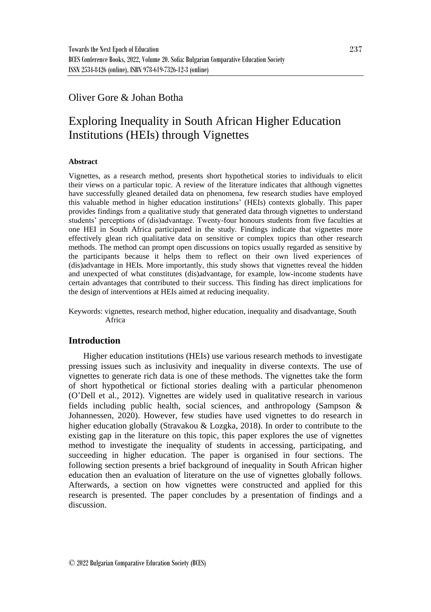## Oliver Gore & Johan Botha

# Exploring Inequality in South African Higher Education Institutions (HEIs) through Vignettes

#### **Abstract**

Vignettes, as a research method, presents short hypothetical stories to individuals to elicit their views on a particular topic. A review of the literature indicates that although vignettes have successfully gleaned detailed data on phenomena, few research studies have employed this valuable method in higher education institutions' (HEIs) contexts globally. This paper provides findings from a qualitative study that generated data through vignettes to understand students' perceptions of (dis)advantage. Twenty-four honours students from five faculties at one HEI in South Africa participated in the study. Findings indicate that vignettes more effectively glean rich qualitative data on sensitive or complex topics than other research methods. The method can prompt open discussions on topics usually regarded as sensitive by the participants because it helps them to reflect on their own lived experiences of (dis)advantage in HEIs. More importantly, this study shows that vignettes reveal the hidden and unexpected of what constitutes (dis)advantage, for example, low-income students have certain advantages that contributed to their success. This finding has direct implications for the design of interventions at HEIs aimed at reducing inequality.

Keywords: vignettes, research method, higher education, inequality and disadvantage, South Africa

#### **Introduction**

Higher education institutions (HEIs) use various research methods to investigate pressing issues such as inclusivity and inequality in diverse contexts. The use of vignettes to generate rich data is one of these methods. The vignettes take the form of short hypothetical or fictional stories dealing with a particular phenomenon (O'Dell et al., 2012). Vignettes are widely used in qualitative research in various fields including public health, social sciences, and anthropology (Sampson & Johannessen, 2020). However, few studies have used vignettes to do research in higher education globally (Stravakou & Lozgka, 2018). In order to contribute to the existing gap in the literature on this topic, this paper explores the use of vignettes method to investigate the inequality of students in accessing, participating, and succeeding in higher education. The paper is organised in four sections. The following section presents a brief background of inequality in South African higher education then an evaluation of literature on the use of vignettes globally follows. Afterwards, a section on how vignettes were constructed and applied for this research is presented. The paper concludes by a presentation of findings and a discussion.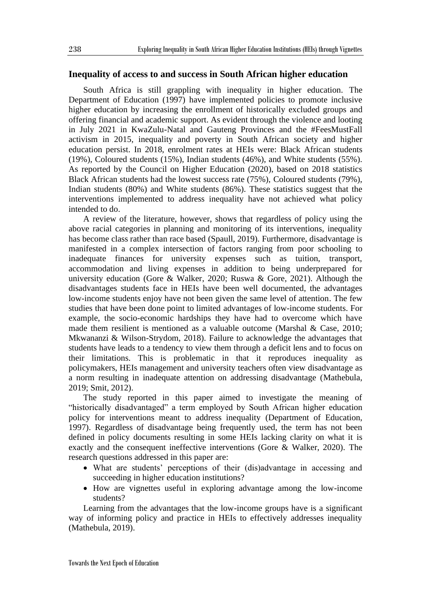#### **Inequality of access to and success in South African higher education**

South Africa is still grappling with inequality in higher education. The Department of Education (1997) have implemented policies to promote inclusive higher education by increasing the enrollment of historically excluded groups and offering financial and academic support. As evident through the violence and looting in July 2021 in KwaZulu-Natal and Gauteng Provinces and the #FeesMustFall activism in 2015, inequality and poverty in South African society and higher education persist. In 2018, enrolment rates at HEIs were: Black African students (19%), Coloured students (15%), Indian students (46%), and White students (55%). As reported by the Council on Higher Education (2020), based on 2018 statistics Black African students had the lowest success rate (75%), Coloured students (79%), Indian students (80%) and White students (86%). These statistics suggest that the interventions implemented to address inequality have not achieved what policy intended to do.

A review of the literature, however, shows that regardless of policy using the above racial categories in planning and monitoring of its interventions, inequality has become class rather than race based (Spaull, 2019). Furthermore, disadvantage is manifested in a complex intersection of factors ranging from poor schooling to inadequate finances for university expenses such as tuition, transport, accommodation and living expenses in addition to being underprepared for university education (Gore & Walker, 2020; Ruswa & Gore, 2021). Although the disadvantages students face in HEIs have been well documented, the advantages low-income students enjoy have not been given the same level of attention. The few studies that have been done point to limited advantages of low-income students. For example, the socio-economic hardships they have had to overcome which have made them resilient is mentioned as a valuable outcome (Marshal  $\&$  Case, 2010; Mkwananzi & Wilson-Strydom, 2018). Failure to acknowledge the advantages that students have leads to a tendency to view them through a deficit lens and to focus on their limitations. This is problematic in that it reproduces inequality as policymakers, HEIs management and university teachers often view disadvantage as a norm resulting in inadequate attention on addressing disadvantage (Mathebula, 2019; Smit, 2012).

The study reported in this paper aimed to investigate the meaning of "historically disadvantaged" a term employed by South African higher education policy for interventions meant to address inequality (Department of Education, 1997). Regardless of disadvantage being frequently used, the term has not been defined in policy documents resulting in some HEIs lacking clarity on what it is exactly and the consequent ineffective interventions (Gore & Walker, 2020). The research questions addressed in this paper are:

- What are students' perceptions of their (dis)advantage in accessing and succeeding in higher education institutions?
- How are vignettes useful in exploring advantage among the low-income students?

Learning from the advantages that the low-income groups have is a significant way of informing policy and practice in HEIs to effectively addresses inequality (Mathebula, 2019).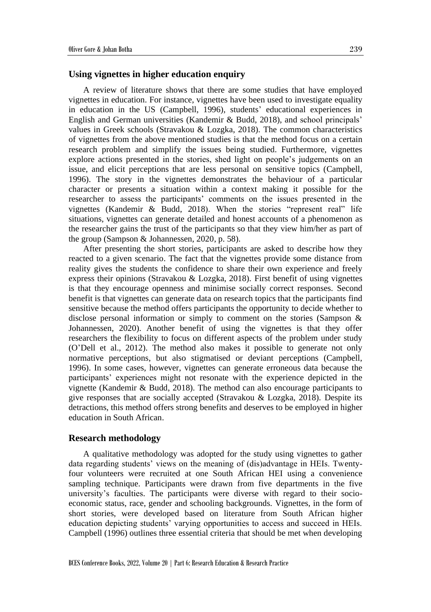#### **Using vignettes in higher education enquiry**

A review of literature shows that there are some studies that have employed vignettes in education. For instance, vignettes have been used to investigate equality in education in the US (Campbell, 1996), students' educational experiences in English and German universities (Kandemir & Budd, 2018), and school principals' values in Greek schools (Stravakou & Lozgka, 2018). The common characteristics of vignettes from the above mentioned studies is that the method focus on a certain research problem and simplify the issues being studied. Furthermore, vignettes explore actions presented in the stories, shed light on people's judgements on an issue, and elicit perceptions that are less personal on sensitive topics (Campbell, 1996). The story in the vignettes demonstrates the behaviour of a particular character or presents a situation within a context making it possible for the researcher to assess the participants' comments on the issues presented in the vignettes (Kandemir & Budd, 2018). When the stories "represent real" life situations, vignettes can generate detailed and honest accounts of a phenomenon as the researcher gains the trust of the participants so that they view him/her as part of the group (Sampson & Johannessen, 2020, p. 58).

After presenting the short stories, participants are asked to describe how they reacted to a given scenario. The fact that the vignettes provide some distance from reality gives the students the confidence to share their own experience and freely express their opinions (Stravakou & Lozgka, 2018). First benefit of using vignettes is that they encourage openness and minimise socially correct responses. Second benefit is that vignettes can generate data on research topics that the participants find sensitive because the method offers participants the opportunity to decide whether to disclose personal information or simply to comment on the stories (Sampson & Johannessen, 2020). Another benefit of using the vignettes is that they offer researchers the flexibility to focus on different aspects of the problem under study (O'Dell et al., 2012). The method also makes it possible to generate not only normative perceptions, but also stigmatised or deviant perceptions (Campbell, 1996). In some cases, however, vignettes can generate erroneous data because the participants' experiences might not resonate with the experience depicted in the vignette (Kandemir & Budd, 2018). The method can also encourage participants to give responses that are socially accepted (Stravakou & Lozgka, 2018). Despite its detractions, this method offers strong benefits and deserves to be employed in higher education in South African.

#### **Research methodology**

A qualitative methodology was adopted for the study using vignettes to gather data regarding students' views on the meaning of (dis)advantage in HEIs. Twentyfour volunteers were recruited at one South African HEI using a convenience sampling technique. Participants were drawn from five departments in the five university's faculties. The participants were diverse with regard to their socioeconomic status, race, gender and schooling backgrounds. Vignettes, in the form of short stories, were developed based on literature from South African higher education depicting students' varying opportunities to access and succeed in HEIs. Campbell (1996) outlines three essential criteria that should be met when developing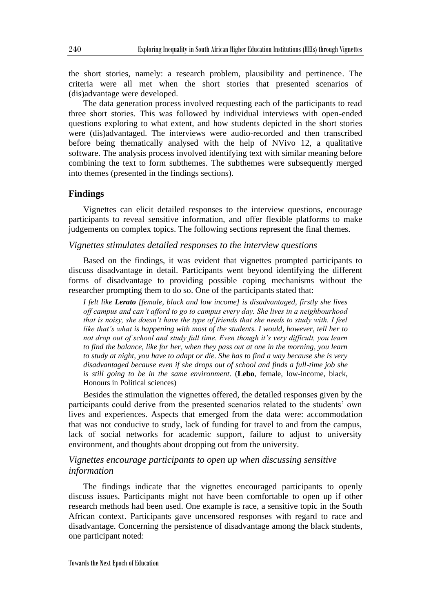the short stories, namely: a research problem, plausibility and pertinence. The criteria were all met when the short stories that presented scenarios of (dis)advantage were developed.

The data generation process involved requesting each of the participants to read three short stories. This was followed by individual interviews with open-ended questions exploring to what extent, and how students depicted in the short stories were (dis)advantaged. The interviews were audio-recorded and then transcribed before being thematically analysed with the help of NVivo 12, a qualitative software. The analysis process involved identifying text with similar meaning before combining the text to form subthemes. The subthemes were subsequently merged into themes (presented in the findings sections).

#### **Findings**

Vignettes can elicit detailed responses to the interview questions, encourage participants to reveal sensitive information, and offer flexible platforms to make judgements on complex topics. The following sections represent the final themes.

#### *Vignettes stimulates detailed responses to the interview questions*

Based on the findings, it was evident that vignettes prompted participants to discuss disadvantage in detail. Participants went beyond identifying the different forms of disadvantage to providing possible coping mechanisms without the researcher prompting them to do so. One of the participants stated that:

*I felt like Lerato [female, black and low income] is disadvantaged, firstly she lives off campus and can't afford to go to campus every day. She lives in a neighbourhood that is noisy, she doesn't have the type of friends that she needs to study with. I feel like that's what is happening with most of the students. I would, however, tell her to not drop out of school and study full time. Even though it's very difficult, you learn to find the balance, like for her, when they pass out at one in the morning, you learn to study at night, you have to adapt or die. She has to find a way because she is very disadvantaged because even if she drops out of school and finds a full-time job she is still going to be in the same environment.* (**Lebo**, female, low-income, black, Honours in Political sciences)

Besides the stimulation the vignettes offered, the detailed responses given by the participants could derive from the presented scenarios related to the students' own lives and experiences. Aspects that emerged from the data were: accommodation that was not conducive to study, lack of funding for travel to and from the campus, lack of social networks for academic support, failure to adjust to university environment, and thoughts about dropping out from the university.

### *Vignettes encourage participants to open up when discussing sensitive information*

The findings indicate that the vignettes encouraged participants to openly discuss issues. Participants might not have been comfortable to open up if other research methods had been used. One example is race, a sensitive topic in the South African context. Participants gave uncensored responses with regard to race and disadvantage. Concerning the persistence of disadvantage among the black students, one participant noted: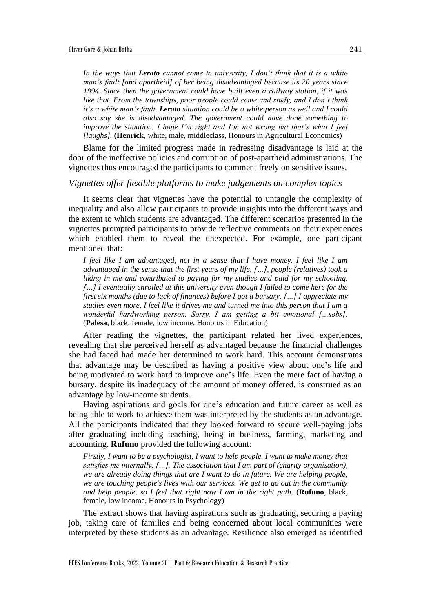*In the ways that Lerato cannot come to university, I don't think that it is a white man's fault [and apartheid] of her being disadvantaged because its 20 years since 1994. Since then the government could have built even a railway station, if it was like that. From the townships, poor people could come and study, and I don't think it's a white man's fault. Lerato situation could be a white person as well and I could also say she is disadvantaged. The government could have done something to improve the situation. I hope I'm right and I'm not wrong but that's what I feel [laughs].* (**Henrick**, white, male, middleclass, Honours in Agricultural Economics)

Blame for the limited progress made in redressing disadvantage is laid at the door of the ineffective policies and corruption of post-apartheid administrations. The vignettes thus encouraged the participants to comment freely on sensitive issues.

#### *Vignettes offer flexible platforms to make judgements on complex topics*

It seems clear that vignettes have the potential to untangle the complexity of inequality and also allow participants to provide insights into the different ways and the extent to which students are advantaged. The different scenarios presented in the vignettes prompted participants to provide reflective comments on their experiences which enabled them to reveal the unexpected. For example, one participant mentioned that:

*I feel like I am advantaged, not in a sense that I have money. I feel like I am advantaged in the sense that the first years of my life, […], people (relatives) took a liking in me and contributed to paying for my studies and paid for my schooling. […] I eventually enrolled at this university even though I failed to come here for the first six months (due to lack of finances) before I got a bursary. […] I appreciate my studies even more, I feel like it drives me and turned me into this person that I am a wonderful hardworking person. Sorry, I am getting a bit emotional […sobs].* (**Palesa**, black, female, low income, Honours in Education)

After reading the vignettes, the participant related her lived experiences, revealing that she perceived herself as advantaged because the financial challenges she had faced had made her determined to work hard. This account demonstrates that advantage may be described as having a positive view about one's life and being motivated to work hard to improve one's life. Even the mere fact of having a bursary, despite its inadequacy of the amount of money offered, is construed as an advantage by low-income students.

Having aspirations and goals for one's education and future career as well as being able to work to achieve them was interpreted by the students as an advantage. All the participants indicated that they looked forward to secure well-paying jobs after graduating including teaching, being in business, farming, marketing and accounting. **Rufuno** provided the following account:

*Firstly, I want to be a psychologist, I want to help people. I want to make money that satisfies me internally. […]. The association that I am part of (charity organisation), we are already doing things that are I want to do in future. We are helping people, we are touching people's lives with our services. We get to go out in the community and help people, so I feel that right now I am in the right path.* (**Rufuno**, black, female, low income, Honours in Psychology)

The extract shows that having aspirations such as graduating, securing a paying job, taking care of families and being concerned about local communities were interpreted by these students as an advantage. Resilience also emerged as identified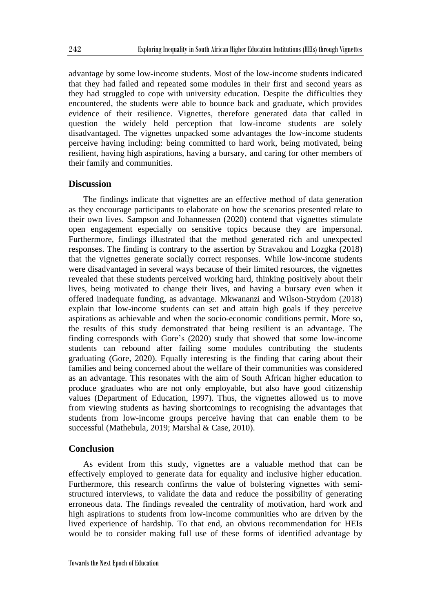advantage by some low-income students. Most of the low-income students indicated that they had failed and repeated some modules in their first and second years as they had struggled to cope with university education. Despite the difficulties they encountered, the students were able to bounce back and graduate, which provides evidence of their resilience. Vignettes, therefore generated data that called in question the widely held perception that low-income students are solely disadvantaged. The vignettes unpacked some advantages the low-income students perceive having including: being committed to hard work, being motivated, being resilient, having high aspirations, having a bursary, and caring for other members of their family and communities.

#### **Discussion**

The findings indicate that vignettes are an effective method of data generation as they encourage participants to elaborate on how the scenarios presented relate to their own lives. Sampson and Johannessen (2020) contend that vignettes stimulate open engagement especially on sensitive topics because they are impersonal. Furthermore, findings illustrated that the method generated rich and unexpected responses. The finding is contrary to the assertion by Stravakou and Lozgka (2018) that the vignettes generate socially correct responses. While low-income students were disadvantaged in several ways because of their limited resources, the vignettes revealed that these students perceived working hard, thinking positively about their lives, being motivated to change their lives, and having a bursary even when it offered inadequate funding, as advantage. Mkwananzi and Wilson-Strydom (2018) explain that low-income students can set and attain high goals if they perceive aspirations as achievable and when the socio-economic conditions permit. More so, the results of this study demonstrated that being resilient is an advantage. The finding corresponds with Gore's (2020) study that showed that some low-income students can rebound after failing some modules contributing the students graduating (Gore, 2020). Equally interesting is the finding that caring about their families and being concerned about the welfare of their communities was considered as an advantage. This resonates with the aim of South African higher education to produce graduates who are not only employable, but also have good citizenship values (Department of Education, 1997). Thus, the vignettes allowed us to move from viewing students as having shortcomings to recognising the advantages that students from low-income groups perceive having that can enable them to be successful (Mathebula, 2019; Marshal & Case, 2010).

#### **Conclusion**

As evident from this study, vignettes are a valuable method that can be effectively employed to generate data for equality and inclusive higher education. Furthermore, this research confirms the value of bolstering vignettes with semistructured interviews, to validate the data and reduce the possibility of generating erroneous data. The findings revealed the centrality of motivation, hard work and high aspirations to students from low-income communities who are driven by the lived experience of hardship. To that end, an obvious recommendation for HEIs would be to consider making full use of these forms of identified advantage by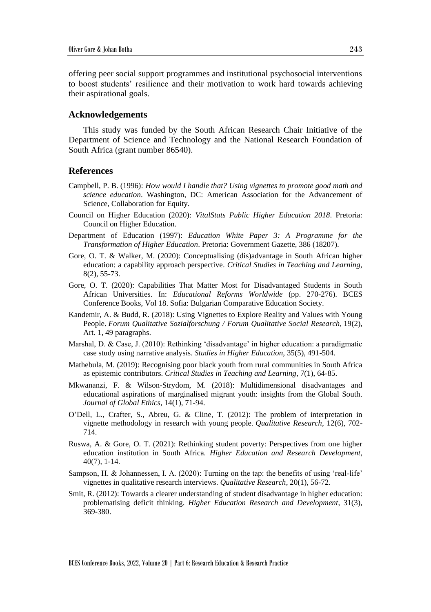offering peer social support programmes and institutional psychosocial interventions to boost students' resilience and their motivation to work hard towards achieving their aspirational goals.

#### **Acknowledgements**

This study was funded by the South African Research Chair Initiative of the Department of Science and Technology and the National Research Foundation of South Africa (grant number 86540).

#### **References**

- Campbell, P. B. (1996): *How would I handle that? Using vignettes to promote good math and science education*. Washington, DC: American Association for the Advancement of Science, Collaboration for Equity.
- Council on Higher Education (2020): *VitalStats Public Higher Education 2018*. Pretoria: Council on Higher Education.
- Department of Education (1997): *Education White Paper 3: A Programme for the Transformation of Higher Education*. Pretoria: Government Gazette, 386 (18207).
- Gore, O. T. & Walker, M. (2020): Conceptualising (dis)advantage in South African higher education: a capability approach perspective. *Critical Studies in Teaching and Learning*, 8(2), 55-73.
- Gore, O. T. (2020): Capabilities That Matter Most for Disadvantaged Students in South African Universities. In: *Educational Reforms Worldwide* (pp. 270-276). BCES Conference Books, Vol 18. Sofia: Bulgarian Comparative Education Society.
- Kandemir, A. & Budd, R. (2018): Using Vignettes to Explore Reality and Values with Young People. *Forum Qualitative Sozialforschung / Forum Qualitative Social Research*, 19(2), Art. 1, 49 paragraphs.
- Marshal, D. & Case, J. (2010): Rethinking 'disadvantage' in higher education: a paradigmatic case study using narrative analysis. *Studies in Higher Education*, 35(5), 491-504.
- Mathebula, M. (2019): Recognising poor black youth from rural communities in South Africa as epistemic contributors. *Critical Studies in Teaching and Learning*, 7(1), 64-85.
- Mkwananzi, F. & Wilson-Strydom, M. (2018): Multidimensional disadvantages and educational aspirations of marginalised migrant youth: insights from the Global South. *Journal of Global Ethics*, 14(1), 71-94.
- O'Dell, L., Crafter, S., Abreu, G. & Cline, T. (2012): The problem of interpretation in vignette methodology in research with young people. *Qualitative Research*, 12(6), 702- 714.
- Ruswa, A. & Gore, O. T. (2021): Rethinking student poverty: Perspectives from one higher education institution in South Africa. *Higher Education and Research Development*, 40(7), 1-14.
- Sampson, H. & Johannessen, I. A. (2020): Turning on the tap: the benefits of using 'real-life' vignettes in qualitative research interviews. *Qualitative Research*, 20(1), 56-72.
- Smit, R. (2012): Towards a clearer understanding of student disadvantage in higher education: problematising deficit thinking. *Higher Education Research and Development*, 31(3), 369-380.